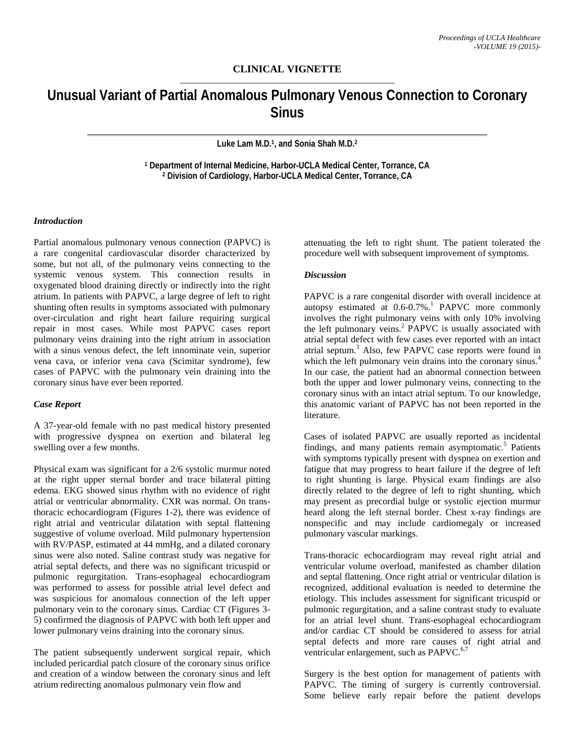# **CLINICAL VIGNETTE**

# **Unusual Variant of Partial Anomalous Pulmonary Venous Connection to Coronary Sinus**

**Luke Lam M.D. 1, and Sonia Shah M.D. 2**

**<sup>1</sup> Department of Internal Medicine, Harbor-UCLA Medical Center, Torrance, CA <sup>2</sup> Division of Cardiology, Harbor-UCLA Medical Center, Torrance, CA**

## *Introduction*

Partial anomalous pulmonary venous connection (PAPVC) is a rare congenital cardiovascular disorder characterized by some, but not all, of the pulmonary veins connecting to the systemic venous system. This connection results in oxygenated blood draining directly or indirectly into the right atrium. In patients with PAPVC, a large degree of left to right shunting often results in symptoms associated with pulmonary over-circulation and right heart failure requiring surgical repair in most cases. While most PAPVC cases report pulmonary veins draining into the right atrium in association with a sinus venous defect, the left innominate vein, superior vena cava, or inferior vena cava (Scimitar syndrome), few cases of PAPVC with the pulmonary vein draining into the coronary sinus have ever been reported.

#### *Case Report*

A 37-year-old female with no past medical history presented with progressive dyspnea on exertion and bilateral leg swelling over a few months.

Physical exam was significant for a 2/6 systolic murmur noted at the right upper sternal border and trace bilateral pitting edema. EKG showed sinus rhythm with no evidence of right atrial or ventricular abnormality. CXR was normal. On transthoracic echocardiogram (Figures 1-2), there was evidence of right atrial and ventricular dilatation with septal flattening suggestive of volume overload. Mild pulmonary hypertension with RV/PASP, estimated at 44 mmHg, and a dilated coronary sinus were also noted. Saline contrast study was negative for atrial septal defects, and there was no significant tricuspid or pulmonic regurgitation. Trans-esophageal echocardiogram was performed to assess for possible atrial level defect and was suspicious for anomalous connection of the left upper pulmonary vein to the coronary sinus. Cardiac CT (Figures 3- 5) confirmed the diagnosis of PAPVC with both left upper and lower pulmonary veins draining into the coronary sinus.

The patient subsequently underwent surgical repair, which included pericardial patch closure of the coronary sinus orifice and creation of a window between the coronary sinus and left atrium redirecting anomalous pulmonary vein flow and

attenuating the left to right shunt. The patient tolerated the procedure well with subsequent improvement of symptoms.

#### *Discussion*

PAPVC is a rare congenital disorder with overall incidence at autopsy estimated at 0.6-0.7%.<sup>1</sup> PAPVC more commonly involves the right pulmonary veins with only 10% involving the left pulmonary veins. <sup>2</sup> PAPVC is usually associated with atrial septal defect with few cases ever reported with an intact atrial septum. <sup>3</sup> Also, few PAPVC case reports were found in which the left pulmonary vein drains into the coronary sinus.<sup>4</sup> In our case, the patient had an abnormal connection between both the upper and lower pulmonary veins, connecting to the coronary sinus with an intact atrial septum. To our knowledge, this anatomic variant of PAPVC has not been reported in the literature.

Cases of isolated PAPVC are usually reported as incidental findings, and many patients remain asymptomatic.<sup>5</sup> Patients with symptoms typically present with dyspnea on exertion and fatigue that may progress to heart failure if the degree of left to right shunting is large. Physical exam findings are also directly related to the degree of left to right shunting, which may present as precordial bulge or systolic ejection murmur heard along the left sternal border. Chest x-ray findings are nonspecific and may include cardiomegaly or increased pulmonary vascular markings.

Trans-thoracic echocardiogram may reveal right atrial and ventricular volume overload, manifested as chamber dilation and septal flattening. Once right atrial or ventricular dilation is recognized, additional evaluation is needed to determine the etiology. This includes assessment for significant tricuspid or pulmonic regurgitation, and a saline contrast study to evaluate for an atrial level shunt. Trans-esophageal echocardiogram and/or cardiac CT should be considered to assess for atrial septal defects and more rare causes of right atrial and ventricular enlargement, such as PAPVC.<sup>6,7</sup>

Surgery is the best option for management of patients with PAPVC. The timing of surgery is currently controversial. Some believe early repair before the patient develops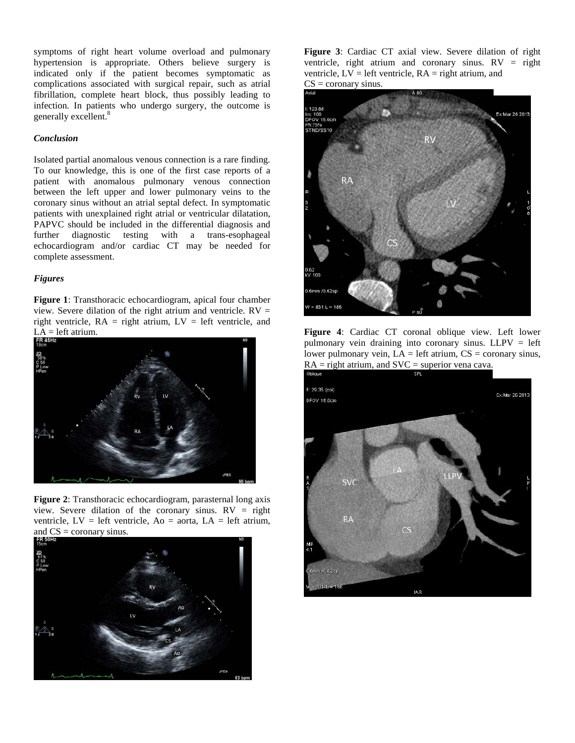symptoms of right heart volume overload and pulmonary hypertension is appropriate. Others believe surgery is indicated only if the patient becomes symptomatic as complications associated with surgical repair, such as atrial fibrillation, complete heart block, thus possibly leading to infection. In patients who undergo surgery, the outcome is generally excellent. 8

## *Conclusion*

Isolated partial anomalous venous connection is a rare finding. To our knowledge, this is one of the first case reports of a patient with anomalous pulmonary venous connection between the left upper and lower pulmonary veins to the coronary sinus without an atrial septal defect. In symptomatic patients with unexplained right atrial or ventricular dilatation, PAPVC should be included in the differential diagnosis and further diagnostic testing with a trans-esophageal echocardiogram and/or cardiac CT may be needed for complete assessment.

## *Figures*

**Figure 1**: Transthoracic echocardiogram, apical four chamber view. Severe dilation of the right atrium and ventricle.  $RV =$ right ventricle,  $RA$  = right atrium,  $LV$  = left ventricle, and  $LA = left$  atrium.



**Figure 2**: Transthoracic echocardiogram, parasternal long axis view. Severe dilation of the coronary sinus.  $RV = right$ ventricle,  $LV = left$  ventricle,  $Ao = aorta$ ,  $LA = left$  atrium, and CS = coronary sinus.



**Figure 3**: Cardiac CT axial view. Severe dilation of right ventricle, right atrium and coronary sinus.  $RV =$  right ventricle,  $LV = left$  ventricle,  $RA = right$  atrium, and  $CS = \text{coronary sinus.}$ 



**Figure 4**: Cardiac CT coronal oblique view. Left lower pulmonary vein draining into coronary sinus. LLPV = left lower pulmonary vein,  $LA = left$  atrium,  $CS = \text{coronary sinus}$ ,  $RA =$  right atrium, and  $SVC =$  superior vena cava.